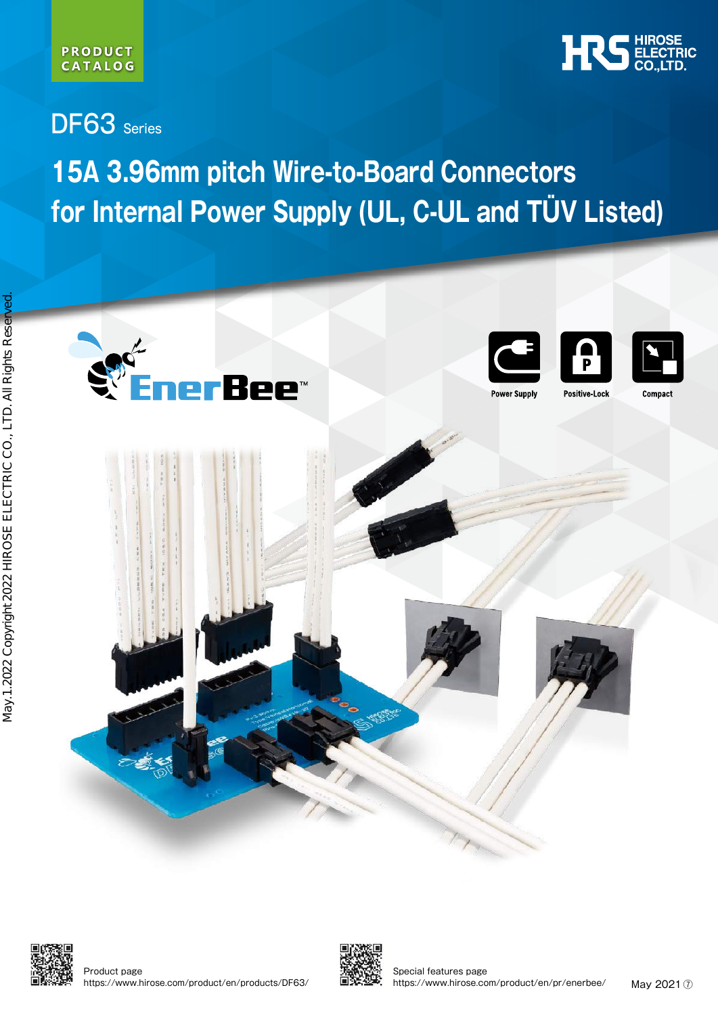#### **PRODUCT CATALOG**



DF63 Series

# **15A 3.96mm pitch Wire-to-Board Connectors for Internal Power Supply (UL, C-UL and TÜV Listed)**





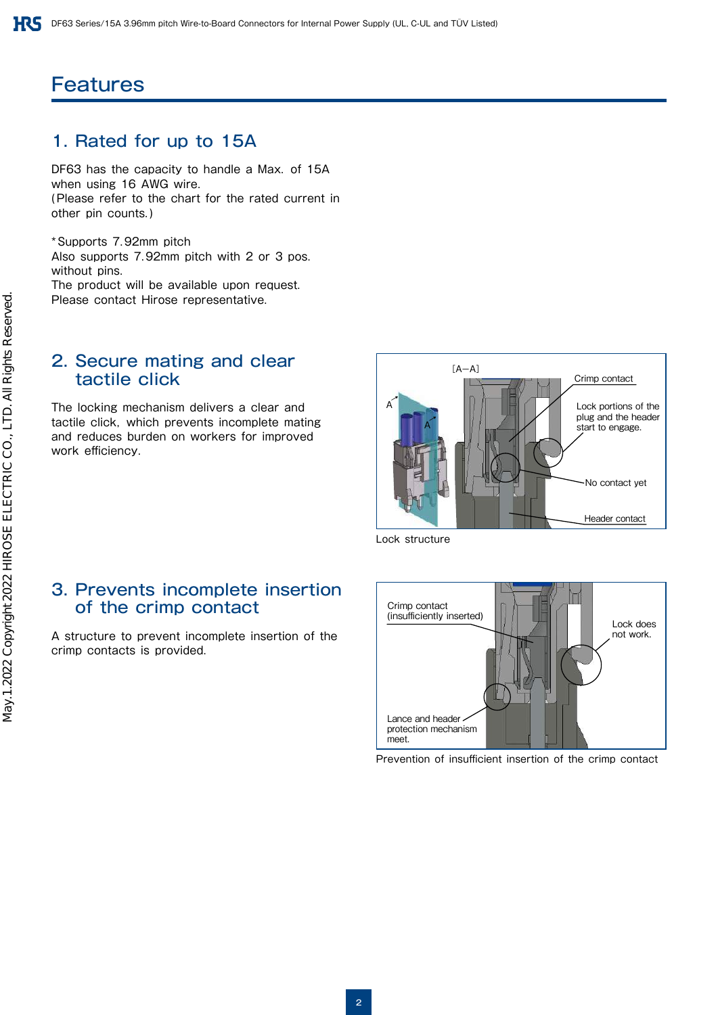## **Features**

## 1. Rated for up to 15A

DF63 has the capacity to handle a Max. of 15A when using 16 AWG wire. (Please refer to the chart for the rated current in other pin counts.)

\*Supports 7.92mm pitch Also supports 7.92mm pitch with 2 or 3 pos. without pins. The product will be available upon request. Please contact Hirose representative.

#### 2. Secure mating and clear tactile click

The locking mechanism delivers a clear and tactile click, which prevents incomplete mating and reduces burden on workers for improved work efficiency.

3. Prevents incomplete insertion

A structure to prevent incomplete insertion of the

of the crimp contact

crimp contacts is provided.



Lock structure

## Crimp contact (insufficiently inserted) **Lock does** not work. Lance and header. protection mechanism meet.

Prevention of insufficient insertion of the crimp contact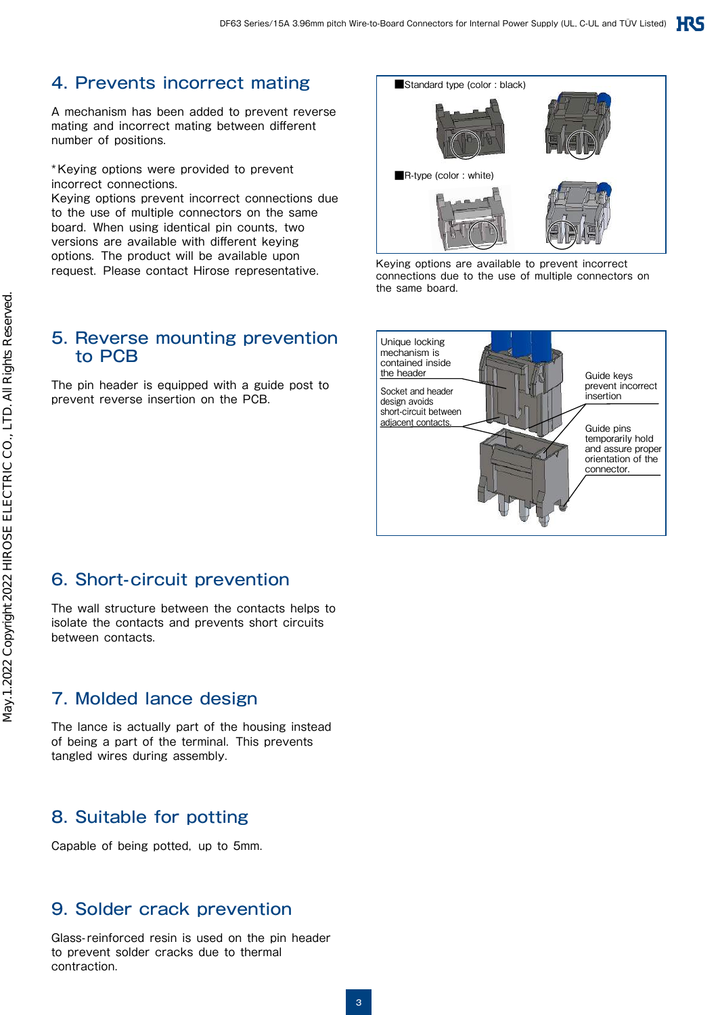## 4. Prevents incorrect mating

A mechanism has been added to prevent reverse mating and incorrect mating between different number of positions.

\*Keying options were provided to prevent incorrect connections.

Keying options prevent incorrect connections due to the use of multiple connectors on the same board. When using identical pin counts, two versions are available with different keying options. The product will be available upon request. Please contact Hirose representative.

## 5. Reverse mounting prevention to PCB

The pin header is equipped with a guide post to prevent reverse insertion on the PCB.



Keying options are available to prevent incorrect connections due to the use of multiple connectors on the same board.



## 6. Short-circuit prevention

The wall structure between the contacts helps to isolate the contacts and prevents short circuits between contacts.

## 7. Molded lance design

The lance is actually part of the housing instead of being a part of the terminal. This prevents tangled wires during assembly.

## 8. Suitable for potting

Capable of being potted, up to 5mm.

## 9. Solder crack prevention

Glass-reinforced resin is used on the pin header to prevent solder cracks due to thermal contraction.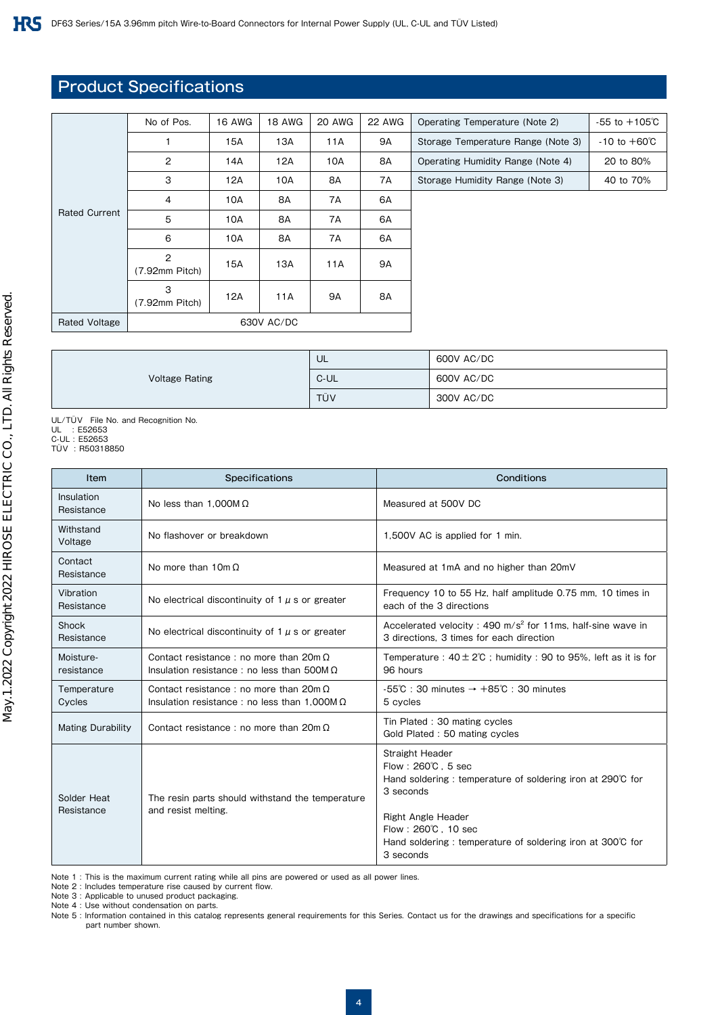## Product Specifications

|                      | No of Pos.          | <b>16 AWG</b> | <b>18 AWG</b> | 20 AWG | <b>22 AWG</b> | Operating Temperature (Note 2)     | $-55$ to $+105^{\circ}$ C |
|----------------------|---------------------|---------------|---------------|--------|---------------|------------------------------------|---------------------------|
|                      |                     | 15A           | 13A           | 11A    | 9A            | Storage Temperature Range (Note 3) | $-10$ to $+60^{\circ}$ C  |
|                      | 2                   | 14A           | 12A           | 10A    | 8A            | Operating Humidity Range (Note 4)  | 20 to 80%                 |
|                      | 3                   | 12A           | 10A           | 8A     | 7Α            | Storage Humidity Range (Note 3)    | 40 to 70%                 |
| <b>Rated Current</b> | 4                   | 10A           | 8A            | 7A     | 6A            |                                    |                           |
|                      | 5                   | 10A           | 8A            | 7A     | 6A            |                                    |                           |
|                      | 6                   | 10A           | 8A            | 7A     | 6A            |                                    |                           |
|                      | 2<br>(7.92mm Pitch) | 15A           | 13A           | 11A    | 9A            |                                    |                           |
|                      | 3<br>(7.92mm Pitch) | 12A           | 11A           | 9A     | 8A            |                                    |                           |
| <b>Rated Voltage</b> | 630V AC/DC          |               |               |        |               |                                    |                           |
|                      |                     |               |               |        |               |                                    |                           |

|                       | UL   | 600V AC/DC |
|-----------------------|------|------------|
| <b>Voltage Rating</b> | C-UL | 600V AC/DC |
|                       | TÜV  | 300V AC/DC |

UL/TÜV File No. and Recognition No. UL : E52653 C-UL : E52653 TÜV : R50318850

| Item                                                                                                 | Specifications                                                                                       | Conditions                                                                                                                                                                                                                                                       |
|------------------------------------------------------------------------------------------------------|------------------------------------------------------------------------------------------------------|------------------------------------------------------------------------------------------------------------------------------------------------------------------------------------------------------------------------------------------------------------------|
| Insulation<br>Resistance                                                                             | No less than 1,000M $\Omega$                                                                         | Measured at 500V DC                                                                                                                                                                                                                                              |
| Withstand<br>Voltage                                                                                 | No flashover or breakdown                                                                            | 1,500V AC is applied for 1 min.                                                                                                                                                                                                                                  |
| Contact<br>Resistance                                                                                | No more than $10m\Omega$                                                                             | Measured at 1mA and no higher than 20mV                                                                                                                                                                                                                          |
| Vibration<br>Resistance                                                                              | No electrical discontinuity of $1 \mu$ s or greater                                                  | Frequency 10 to 55 Hz, half amplitude 0.75 mm, 10 times in<br>each of the 3 directions                                                                                                                                                                           |
| Shock<br>Resistance                                                                                  | No electrical discontinuity of 1 $\mu$ s or greater                                                  | Accelerated velocity : 490 $m/s^2$ for 11ms, half-sine wave in<br>3 directions. 3 times for each direction                                                                                                                                                       |
| Moisture-<br>resistance                                                                              | Contact resistance: no more than $20m\Omega$<br>Insulation resistance : no less than 500M $\Omega$   | Temperature: $40 \pm 2^{\circ}$ ; humidity: 90 to 95%, left as it is for<br>96 hours                                                                                                                                                                             |
| Temperature<br>Cycles                                                                                | Contact resistance: no more than $20m\Omega$<br>Insulation resistance : no less than 1.000M $\Omega$ | $-55^{\circ}\text{C}$ : 30 minutes $\rightarrow +85^{\circ}\text{C}$ : 30 minutes<br>5 cycles                                                                                                                                                                    |
| <b>Mating Durability</b>                                                                             | Contact resistance: no more than $20m\Omega$                                                         | Tin Plated: 30 mating cycles<br>Gold Plated: 50 mating cycles                                                                                                                                                                                                    |
| Solder Heat<br>The resin parts should withstand the temperature<br>Resistance<br>and resist melting. |                                                                                                      | <b>Straight Header</b><br>Flow: $260^{\circ}$ C. 5 sec<br>Hand soldering: temperature of soldering iron at 290°C for<br>3 seconds<br><b>Right Angle Header</b><br>Flow: 260°C, 10 sec<br>Hand soldering: temperature of soldering iron at 300°C for<br>3 seconds |

Note 1 : This is the maximum current rating while all pins are powered or used as all power lines.

Note 2 : Includes temperature rise caused by current flow.

Note 3 : Applicable to unused product packaging.

Note 4 : Use without condensation on parts.

Note 5 : Information contained in this catalog represents general requirements for this Series. Contact us for the drawings and specifications for a specific part number shown.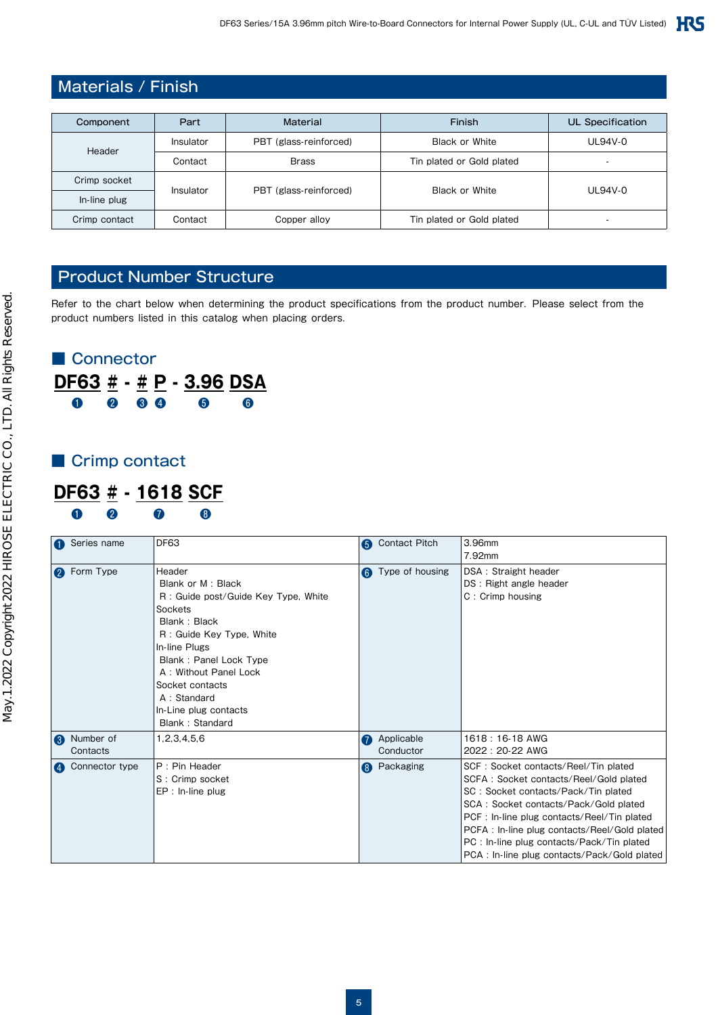## Materials / Finish

| Component     | Finish<br><b>Material</b><br>Part |                        |                           | UL Specification         |  |
|---------------|-----------------------------------|------------------------|---------------------------|--------------------------|--|
| Header        | Insulator                         | PBT (glass-reinforced) | <b>Black or White</b>     | UL94V-0                  |  |
|               | Contact                           | <b>Brass</b>           | Tin plated or Gold plated |                          |  |
| Crimp socket  |                                   |                        | <b>Black or White</b>     |                          |  |
| In-line plug  | Insulator                         | PBT (glass-reinforced) |                           | UL94V-0                  |  |
| Crimp contact | Contact                           | Copper alloy           | Tin plated or Gold plated | $\overline{\phantom{a}}$ |  |

## Product Number Structure

Refer to the chart below when determining the product specifications from the product number. Please select from the product numbers listed in this catalog when placing orders.

## ■ Connector **DF63 # - # P - 3.96 DSA** ❶ ❷ ❸ ❹ ❺ ❻

## ■ Crimp contact

## **DF63 # - 1618 SCF** ❶ ❷ ❼ ❽

| Series name        | DF63                                |   | <b>6</b> Contact Pitch | 3.96mm                                       |
|--------------------|-------------------------------------|---|------------------------|----------------------------------------------|
|                    |                                     |   |                        | 7.92mm                                       |
| <b>2</b> Form Type | Header                              | 6 | Type of housing        | DSA: Straight header                         |
|                    | Blank or M : Black                  |   |                        | DS: Right angle header                       |
|                    | R: Guide post/Guide Key Type, White |   |                        | C: Crimp housing                             |
|                    | Sockets                             |   |                        |                                              |
|                    | Blank: Black                        |   |                        |                                              |
|                    | R: Guide Key Type, White            |   |                        |                                              |
|                    | In-line Plugs                       |   |                        |                                              |
|                    | Blank: Panel Lock Type              |   |                        |                                              |
|                    | A: Without Panel Lock               |   |                        |                                              |
|                    | Socket contacts                     |   |                        |                                              |
|                    | A: Standard                         |   |                        |                                              |
|                    | In-Line plug contacts               |   |                        |                                              |
|                    | Blank: Standard                     |   |                        |                                              |
| <b>8</b> Number of | 1, 2, 3, 4, 5, 6                    | 7 | Applicable             | 1618 : 16-18 AWG                             |
| Contacts           |                                     |   | Conductor              | 2022: 20-22 AWG                              |
| 4 Connector type   | P: Pin Header                       | 8 | Packaging              | SCF: Socket contacts/Reel/Tin plated         |
|                    | S: Crimp socket                     |   |                        | SCFA: Socket contacts/Reel/Gold plated       |
|                    | $EP: In-line plug$                  |   |                        | SC: Socket contacts/Pack/Tin plated          |
|                    |                                     |   |                        | SCA: Socket contacts/Pack/Gold plated        |
|                    |                                     |   |                        | PCF : In-line plug contacts/Reel/Tin plated  |
|                    |                                     |   |                        | PCFA: In-line plug contacts/Reel/Gold plated |
|                    |                                     |   |                        | PC: In-line plug contacts/Pack/Tin plated    |
|                    |                                     |   |                        | PCA : In-line plug contacts/Pack/Gold plated |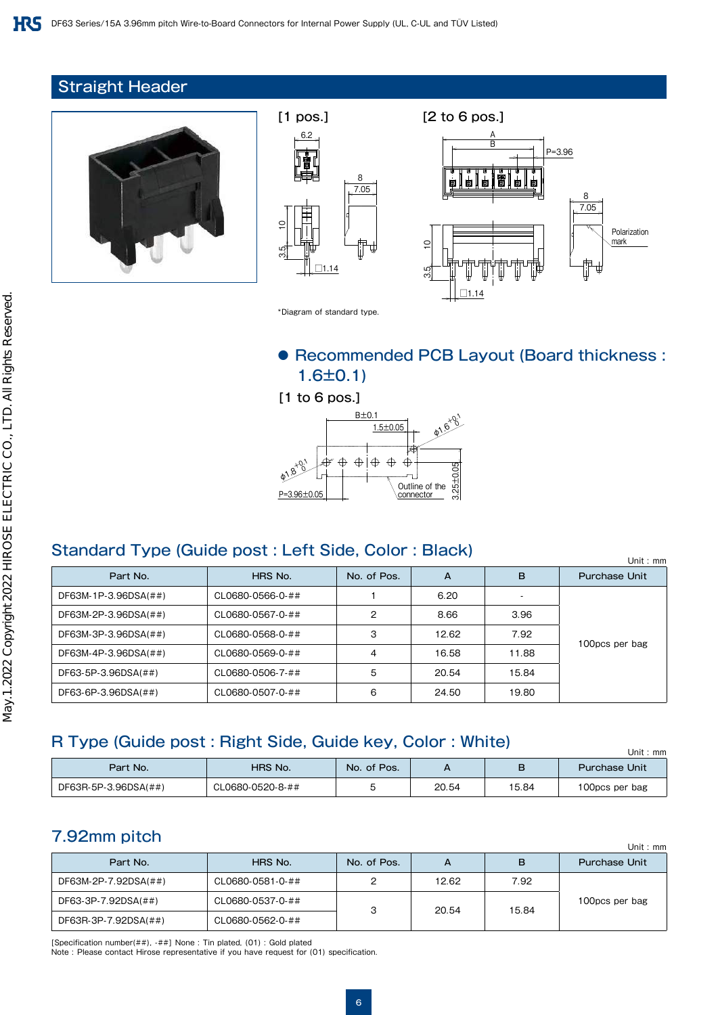## Straight Header







\*Diagram of standard type.

## ● Recommended PCB Layout (Board thickness: 1.6±0.1)

[1 to 6 pos.]



## Standard Type (Guide post : Left Side, Color : Black)

|                      |                  |             |       |       | Unit: $mm$           |
|----------------------|------------------|-------------|-------|-------|----------------------|
| Part No.             | HRS No.          | No. of Pos. | A     | в     | <b>Purchase Unit</b> |
| DF63M-1P-3.96DSA(##) | CL0680-0566-0-## |             | 6.20  |       |                      |
| DF63M-2P-3.96DSA(##) | CL0680-0567-0-## | 2           | 8.66  | 3.96  |                      |
| DF63M-3P-3.96DSA(##) | CL0680-0568-0-## | 3           | 12.62 | 7.92  | 100pcs per bag       |
| DF63M-4P-3.96DSA(##) | CL0680-0569-0-## | 4           | 16.58 | 11.88 |                      |
| DF63-5P-3.96DSA(##)  | CL0680-0506-7-## | 5           | 20.54 | 15.84 |                      |
| DF63-6P-3.96DSA(##)  | CL0680-0507-0-## | 6           | 24.50 | 19.80 |                      |

## R Type (Guide post : Right Side, Guide key, Color : White)

| <u>. , po fadido post oraș adido no , oolor . mtoj</u> | Unit : mm        |             |       |       |                      |
|--------------------------------------------------------|------------------|-------------|-------|-------|----------------------|
| Part No.                                               | HRS No.          | No. of Pos. |       |       | <b>Purchase Unit</b> |
| DF63R-5P-3.96DSA(##)                                   | CL0680-0520-8-## |             | 20.54 | 15.84 | 100pcs per bag       |

## 7.92mm pitch

| $\cdots$ $\cdots$    |                  |             |       |       | Unit: $mm$           |
|----------------------|------------------|-------------|-------|-------|----------------------|
| Part No.             | HRS No.          | No. of Pos. | А     | в     | <b>Purchase Unit</b> |
| DF63M-2P-7.92DSA(##) | CL0680-0581-0-## |             | 12.62 | 7.92  |                      |
| DF63-3P-7.92DSA(##)  | CL0680-0537-0-## |             |       |       | 100pcs per bag       |
| DF63R-3P-7.92DSA(##) | CL0680-0562-0-## | っ           | 20.54 | 15.84 |                      |

[Specification number(##), -##] None : Tin plated, (01) : Gold plated

Note : Please contact Hirose representative if you have request for (01) specification.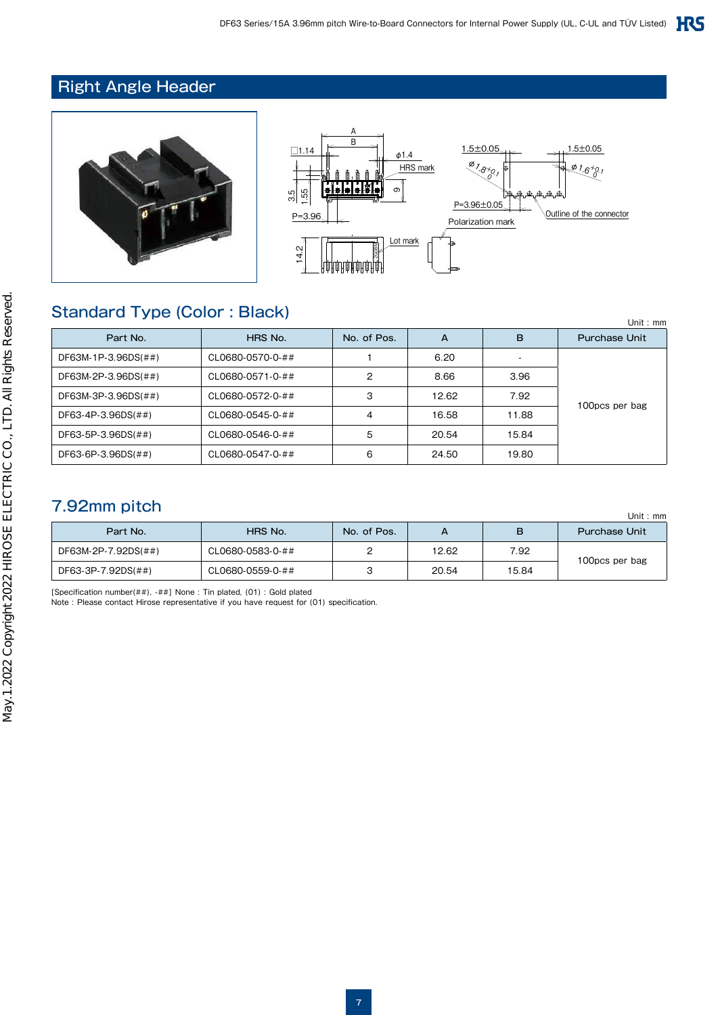## Right Angle Header



## Standard Type (Color : Black)

| $\sim$ . The state of $\sim$ , $\sim$ , $\sim$ . The state of $\sim$ | Unit: $mm$       |             |       |       |                      |
|----------------------------------------------------------------------|------------------|-------------|-------|-------|----------------------|
| Part No.                                                             | HRS No.          | No. of Pos. | A     | B     | <b>Purchase Unit</b> |
| DF63M-1P-3.96DS(##)                                                  | CL0680-0570-0-## |             | 6.20  |       |                      |
| DF63M-2P-3.96DS(##)                                                  | CL0680-0571-0-## | 2           | 8.66  | 3.96  |                      |
| DF63M-3P-3.96DS(##)                                                  | CL0680-0572-0-## | 3           | 12.62 | 7.92  |                      |
| DF63-4P-3.96DS(##)                                                   | CL0680-0545-0-## | 4           | 16.58 | 11.88 | 100pcs per bag       |
| DF63-5P-3.96DS(##)                                                   | CL0680-0546-0-## | 5           | 20.54 | 15.84 |                      |
| DF63-6P-3.96DS(##)                                                   | CL0680-0547-0-## | 6           | 24.50 | 19.80 |                      |

## 7.92mm pitch

|                     | Unit: $mm$       |             |       |       |                      |  |
|---------------------|------------------|-------------|-------|-------|----------------------|--|
| Part No.            | HRS No.          | No. of Pos. |       | в     | <b>Purchase Unit</b> |  |
| DF63M-2P-7.92DS(##) | CL0680-0583-0-## |             | 12.62 | 7.92  | 100pcs per bag       |  |
| DF63-3P-7.92DS(##)  | CL0680-0559-0-## |             | 20.54 | 15.84 |                      |  |

[Specification number(##), -##] None : Tin plated, (01) : Gold plated Note : Please contact Hirose representative if you have request for (01) specification.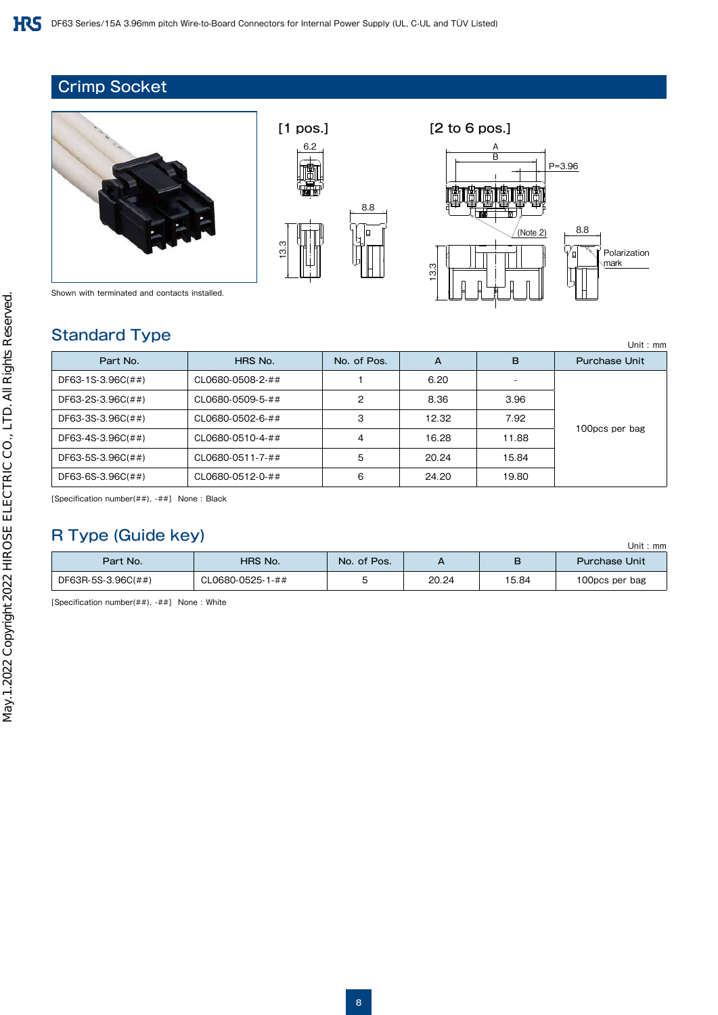## Crimp Socket





Polarization mark

 $($ Note 2)

P=3.96

8.8

′⊑

B A

 $\sqrt{ }$ 

13.3

Shown with terminated and contacts installed.

#### Standard Type

|                   |                  |             |       |                          | Unit: $mr$           |
|-------------------|------------------|-------------|-------|--------------------------|----------------------|
| Part No.          | HRS No.          | No. of Pos. | А     | в                        | <b>Purchase Unit</b> |
| DF63-1S-3.96C(##) | CL0680-0508-2-## |             | 6.20  | $\overline{\phantom{a}}$ |                      |
| DF63-2S-3.96C(##) | CL0680-0509-5-## | 2           | 8.36  | 3.96                     |                      |
| DF63-3S-3.96C(##) | CL0680-0502-6-## | З           | 12.32 | 7.92                     |                      |
| DF63-4S-3.96C(##) | CL0680-0510-4-## | 4           | 16.28 | 11.88                    | 100pcs per bag       |
| DF63-5S-3.96C(##) | CL0680-0511-7-## | 5           | 20.24 | 15.84                    |                      |
| DF63-6S-3.96C(##) | CL0680-0512-0-## | 6           | 24.20 | 19.80                    |                      |

[Specification number(##), -##] None : Black

## R Type (Guide key)

| $\sim$ , $\sim$ , $\sim$ , $\sim$ , $\sim$ , $\sim$ |                  |             |       |       |                      |
|-----------------------------------------------------|------------------|-------------|-------|-------|----------------------|
| Part No.                                            | HRS No.          | No. of Pos. |       | в     | <b>Purchase Unit</b> |
| DF63R-5S-3.96C(##)                                  | CL0680-0525-1-## |             | 20.24 | 15.84 | 100pcs per bag       |

[Specification number(##), -##] None : White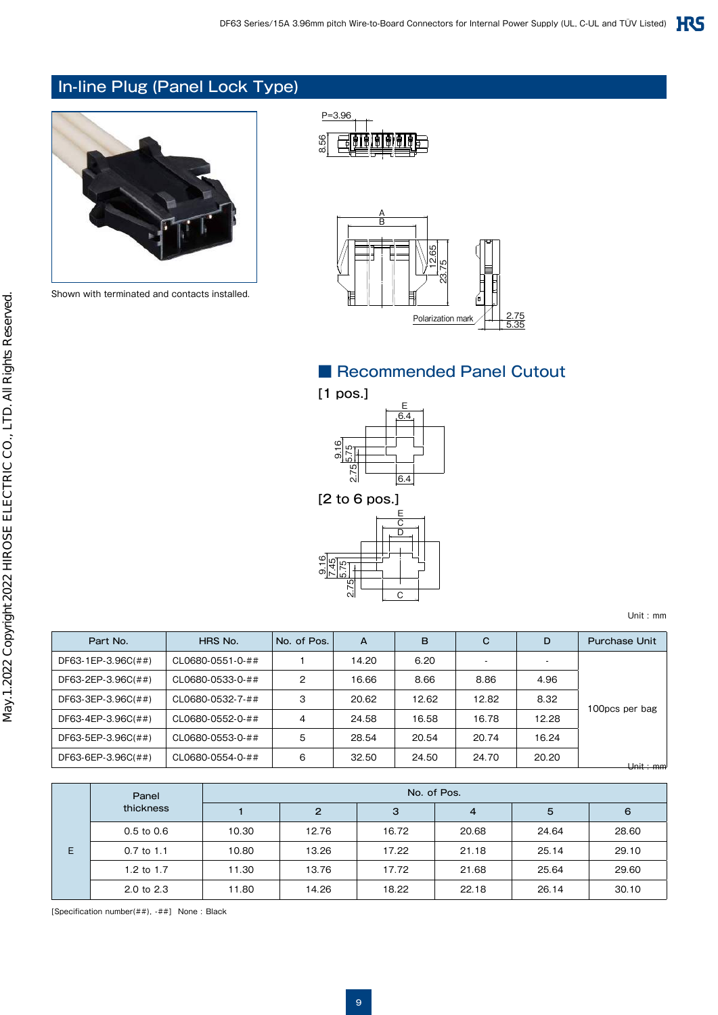## In-line Plug (Panel Lock Type)



Shown with terminated and contacts installed.





## ■ Recommended Panel Cutout



[2 to 6 pos.]



Unit : mm

| Part No.           | HRS No.          | No. of Pos. | A     | B     | C     | D     | <b>Purchase Unit</b> |
|--------------------|------------------|-------------|-------|-------|-------|-------|----------------------|
| DF63-1EP-3.96C(##) | CL0680-0551-0-## |             | 14.20 | 6.20  |       |       |                      |
| DF63-2EP-3.96C(##) | CL0680-0533-0-## | 2           | 16.66 | 8.66  | 8.86  | 4.96  |                      |
| DF63-3EP-3.96C(##) | CL0680-0532-7-## | З           | 20.62 | 12.62 | 12.82 | 8.32  |                      |
| DF63-4EP-3.96C(##) | CL0680-0552-0-## | 4           | 24.58 | 16.58 | 16.78 | 12.28 | 100pcs per bag       |
| DF63-5EP-3.96C(##) | CL0680-0553-0-## | 5           | 28.54 | 20.54 | 20.74 | 16.24 |                      |
| DF63-6EP-3.96C(##) | CL0680-0554-0-## | 6           | 32.50 | 24.50 | 24.70 | 20.20 | <del>Unit mm</del>   |

| Panel |                | No. of Pos. |       |       |                |       |       |  |  |  |  |
|-------|----------------|-------------|-------|-------|----------------|-------|-------|--|--|--|--|
|       | thickness      |             | 2     | 3     | $\overline{4}$ | 5     | 6     |  |  |  |  |
| E.    | $0.5$ to $0.6$ | 10.30       | 12.76 | 16.72 | 20.68          | 24.64 | 28.60 |  |  |  |  |
|       | $0.7$ to 1.1   | 10.80       | 13.26 | 17.22 | 21.18          | 25.14 | 29.10 |  |  |  |  |
|       | 1.2 to 1.7     | 11.30       | 13.76 | 17.72 | 21.68          | 25.64 | 29.60 |  |  |  |  |
|       | 2.0 to 2.3     | 11.80       | 14.26 | 18.22 | 22.18          | 26.14 | 30.10 |  |  |  |  |

[Specification number(##), -##] None : Black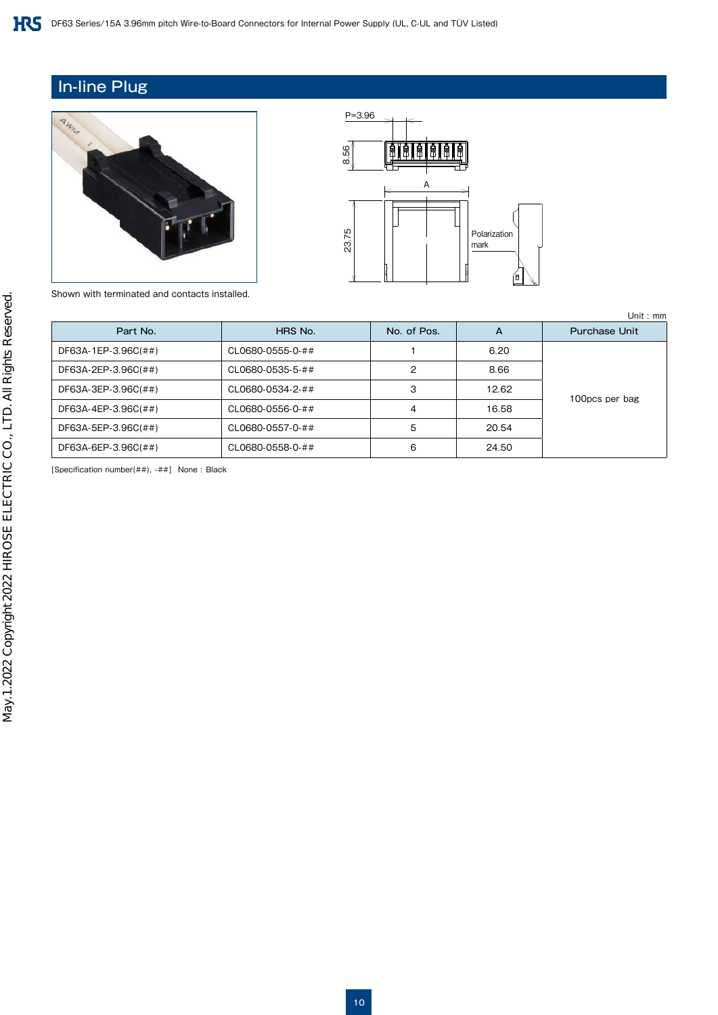## In-line Plug





Shown with terminated and contacts installed.

| Part No.            | HRS No.          | No. of Pos. | A     | <b>Purchase Unit</b> |
|---------------------|------------------|-------------|-------|----------------------|
| DF63A-1EP-3.96C(##) | CL0680-0555-0-## |             | 6.20  |                      |
| DF63A-2EP-3.96C(##) | CL0680-0535-5-## | 2           | 8.66  |                      |
| DF63A-3EP-3.96C(##) | CL0680-0534-2-## | 3           | 12.62 |                      |
| DF63A-4EP-3.96C(##) | CL0680-0556-0-## | 4           | 16.58 | 100pcs per bag       |
| DF63A-5EP-3.96C(##) | CL0680-0557-0-## | 5           | 20.54 |                      |
| DF63A-6EP-3.96C(##) | CL0680-0558-0-## | 6           | 24.50 |                      |

[Specification number(##), -##] None : Black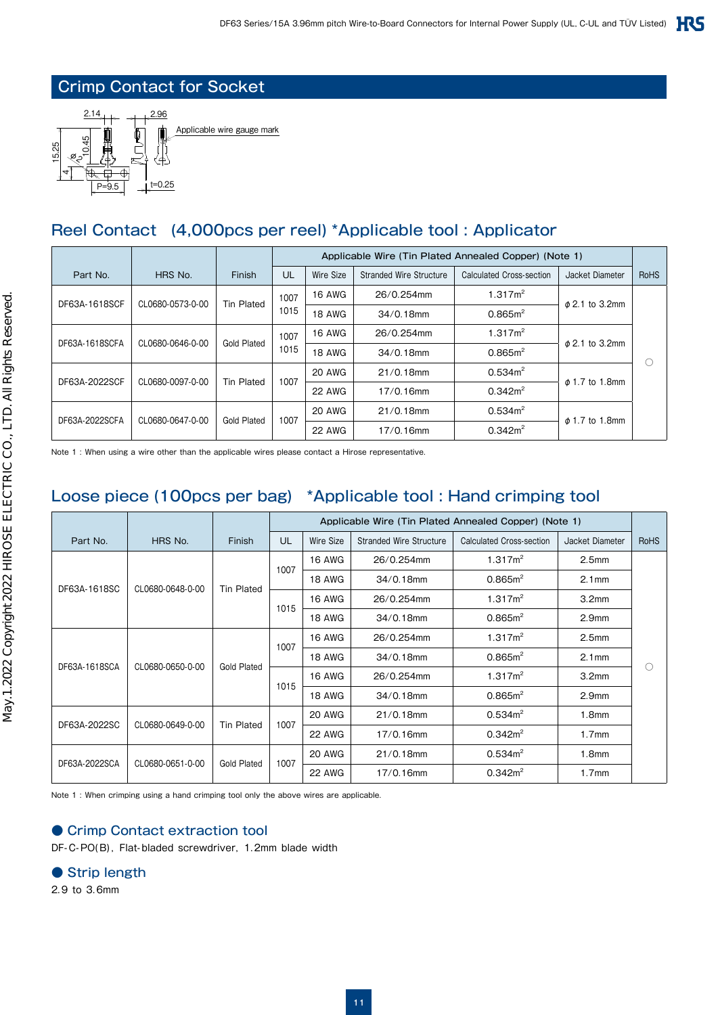## Crimp Contact for Socket



## Reel Contact (4,000pcs per reel) \*Applicable tool : Applicator

|                                   |                  |                    | Applicable Wire (Tin Plated Annealed Copper) (Note 1) |               |                                |                          |                     |             |               |            |                     |  |  |
|-----------------------------------|------------------|--------------------|-------------------------------------------------------|---------------|--------------------------------|--------------------------|---------------------|-------------|---------------|------------|---------------------|--|--|
| Part No.                          | HRS No.          | Finish             | UL                                                    | Wire Size     | <b>Stranded Wire Structure</b> | Calculated Cross-section | Jacket Diameter     | <b>RoHS</b> |               |            |                     |  |  |
| CL0680-0573-0-00<br>DF63A-1618SCF |                  | <b>Tin Plated</b>  | 1007<br>1015                                          | <b>16 AWG</b> | 26/0.254mm                     | 1.317m <sup>2</sup>      | $\phi$ 2.1 to 3.2mm |             |               |            |                     |  |  |
|                                   |                  |                    |                                                       | <b>18 AWG</b> | $34/0.18$ mm                   | $0.865m^2$               |                     |             |               |            |                     |  |  |
|                                   |                  |                    | CL0680-0646-0-00<br><b>Gold Plated</b>                |               |                                |                          |                     | 1007        | <b>16 AWG</b> | 26/0.254mm | 1.317m <sup>2</sup> |  |  |
| DF63A-1618SCFA                    |                  | 1015               |                                                       | <b>18 AWG</b> | $34/0.18$ mm                   | $0.865m^2$               | $\phi$ 2.1 to 3.2mm |             |               |            |                     |  |  |
|                                   |                  |                    |                                                       | <b>20 AWG</b> | $21/0.18$ mm                   | $0.534m^2$               |                     | €           |               |            |                     |  |  |
| CL0680-0097-0-00<br>DF63A-2022SCF |                  | <b>Tin Plated</b>  | 1007                                                  | <b>22 AWG</b> | 17/0.16mm                      | $0.342m^2$               | $\phi$ 1.7 to 1.8mm |             |               |            |                     |  |  |
|                                   | CL0680-0647-0-00 |                    |                                                       | <b>20 AWG</b> | $21/0.18$ mm                   | $0.534m^2$               |                     |             |               |            |                     |  |  |
| DF63A-2022SCFA                    |                  | <b>Gold Plated</b> | 1007                                                  | <b>22 AWG</b> | 17/0.16mm                      | $0.342m^2$               | $\phi$ 1.7 to 1.8mm |             |               |            |                     |  |  |

Note 1 : When using a wire other than the applicable wires please contact a Hirose representative.

## Loose piece (100pcs per bag) \*Applicable tool : Hand crimping tool

|               |                  |                    |      | Applicable Wire (Tin Plated Annealed Copper) (Note 1) |                                |                          |                   |             |
|---------------|------------------|--------------------|------|-------------------------------------------------------|--------------------------------|--------------------------|-------------------|-------------|
| Part No.      | HRS No.          | Finish             | UL   | Wire Size                                             | <b>Stranded Wire Structure</b> | Calculated Cross-section | Jacket Diameter   | <b>RoHS</b> |
|               |                  |                    | 1007 | <b>16 AWG</b>                                         | 26/0.254mm                     | 1.317m <sup>2</sup>      | 2.5 <sub>mm</sub> |             |
| DF63A-1618SC  | CL0680-0648-0-00 | <b>Tin Plated</b>  |      | <b>18 AWG</b>                                         | 34/0.18mm                      | 0.865m <sup>2</sup>      | 2.1 <sub>mm</sub> |             |
|               |                  |                    | 1015 | <b>16 AWG</b>                                         | 26/0.254mm                     | 1.317m <sup>2</sup>      | 3.2 <sub>mm</sub> |             |
|               |                  |                    |      | <b>18 AWG</b>                                         | 34/0.18mm                      | 0.865m <sup>2</sup>      | 2.9 <sub>mm</sub> |             |
| DF63A-1618SCA | CL0680-0650-0-00 | <b>Gold Plated</b> | 1007 | <b>16 AWG</b>                                         | 26/0.254mm                     | 1.317m <sup>2</sup>      | 2.5 <sub>mm</sub> |             |
|               |                  |                    |      | <b>18 AWG</b>                                         | 34/0.18mm                      | 0.865m <sup>2</sup>      | 2.1 <sub>mm</sub> | ∩           |
|               |                  |                    |      | <b>16 AWG</b>                                         | 26/0.254mm                     | 1.317m <sup>2</sup>      | 3.2 <sub>mm</sub> |             |
|               |                  |                    | 1015 | <b>18 AWG</b>                                         | 34/0.18mm                      | 0.865m <sup>2</sup>      | 2.9 <sub>mm</sub> |             |
|               |                  |                    |      | 20 AWG                                                | 21/0.18mm                      | $0.534m^2$               | 1.8 <sub>mm</sub> |             |
| DF63A-2022SC  | CL0680-0649-0-00 | Tin Plated         | 1007 | 22 AWG                                                | 17/0.16mm                      | $0.342m^2$               | 1.7 <sub>mm</sub> |             |
|               |                  |                    | 1007 | <b>20 AWG</b>                                         | 21/0.18mm                      | 0.534m <sup>2</sup>      | 1.8 <sub>mm</sub> |             |
| DF63A-2022SCA | CL0680-0651-0-00 | <b>Gold Plated</b> |      | <b>22 AWG</b>                                         | 17/0.16mm                      | $0.342m^2$               | 1.7 <sub>mm</sub> |             |

Note 1 : When crimping using a hand crimping tool only the above wires are applicable.

#### ● Crimp Contact extraction tool

DF-C-PO(B), Flat-bladed screwdriver, 1.2mm blade width

#### ● Strip length

2.9 to 3.6mm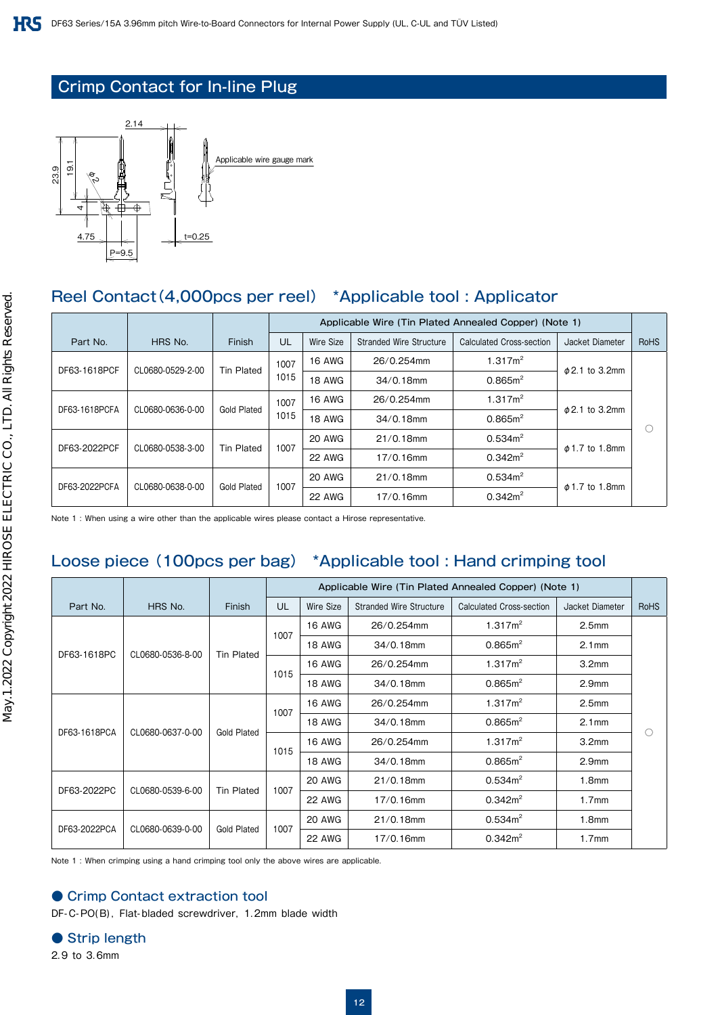## Crimp Contact for In-line Plug



## Reel Contact(4,000pcs per reel) \*Applicable tool : Applicator

|               |                                   |         |                                        | Applicable Wire (Tin Plated Annealed Copper) (Note 1) |               |                                |                          |                     |             |               |                     |                     |   |  |
|---------------|-----------------------------------|---------|----------------------------------------|-------------------------------------------------------|---------------|--------------------------------|--------------------------|---------------------|-------------|---------------|---------------------|---------------------|---|--|
|               | Part No.                          | HRS No. | Finish                                 | UL                                                    | Wire Size     | <b>Stranded Wire Structure</b> | Calculated Cross-section | Jacket Diameter     | <b>RoHS</b> |               |                     |                     |   |  |
|               |                                   |         |                                        | 1007                                                  | <b>16 AWG</b> | 26/0.254mm                     | 1.317m <sup>2</sup>      |                     |             |               |                     |                     |   |  |
|               | DF63-1618PCF<br>CL0680-0529-2-00  |         | Tin Plated                             | 1015                                                  | <b>18 AWG</b> | $34/0.18$ mm                   | 0.865m <sup>2</sup>      | $\phi$ 2.1 to 3.2mm |             |               |                     |                     |   |  |
|               |                                   |         |                                        |                                                       |               |                                |                          |                     | 1007        | <b>16 AWG</b> | 26/0.254mm          | 1.317m <sup>2</sup> |   |  |
|               | DF63-1618PCFA<br>CL0680-0636-0-00 |         | Gold Plated                            | 1015                                                  | 18 AWG        | $34/0.18$ mm                   | 0.865m <sup>2</sup>      | $\phi$ 2.1 to 3.2mm |             |               |                     |                     |   |  |
|               |                                   |         |                                        |                                                       |               |                                |                          | 1007                | 20 AWG      | $21/0.18$ mm  | 0.534m <sup>2</sup> |                     | C |  |
|               | DF63-2022PCF<br>CL0680-0538-3-00  |         | <b>Tin Plated</b>                      |                                                       | <b>22 AWG</b> | 17/0.16mm                      | $0.342m^2$               | $\phi$ 1.7 to 1.8mm |             |               |                     |                     |   |  |
|               |                                   |         | CL0680-0638-0-00<br><b>Gold Plated</b> |                                                       | 20 AWG        | $21/0.18$ mm                   | 0.534m <sup>2</sup>      |                     |             |               |                     |                     |   |  |
| DF63-2022PCFA |                                   |         |                                        | 1007                                                  | 22 AWG        | 17/0.16mm                      | $0.342m^2$               | $\phi$ 1.7 to 1.8mm |             |               |                     |                     |   |  |
|               |                                   |         |                                        |                                                       |               |                                |                          |                     |             |               |                     |                     |   |  |

Note 1 : When using a wire other than the applicable wires please contact a Hirose representative.

## Loose piece (100pcs per bag) \*Applicable tool : Hand crimping tool

|                                 |                  |                   | Applicable Wire (Tin Plated Annealed Copper) (Note 1) |               |                                |                          |                     |                   |
|---------------------------------|------------------|-------------------|-------------------------------------------------------|---------------|--------------------------------|--------------------------|---------------------|-------------------|
| Part No.                        | HRS No.          | Finish            | UL                                                    | Wire Size     | <b>Stranded Wire Structure</b> | Calculated Cross-section | Jacket Diameter     | <b>RoHS</b>       |
| DF63-1618PC<br>CL0680-0536-8-00 |                  | 1007              | <b>16 AWG</b>                                         | 26/0.254mm    | 1.317m <sup>2</sup>            | 2.5 <sub>mm</sub>        |                     |                   |
|                                 |                  |                   |                                                       | <b>18 AWG</b> | 34/0.18mm                      | 0.865m <sup>2</sup>      | 2.1 <sub>mm</sub>   |                   |
|                                 |                  | Tin Plated        | 1015                                                  | <b>16 AWG</b> | 26/0.254mm                     | 1.317m <sup>2</sup>      | 3.2 <sub>mm</sub>   |                   |
|                                 |                  |                   |                                                       | <b>18 AWG</b> | 34/0.18mm                      | 0.865m <sup>2</sup>      | 2.9 <sub>mm</sub>   |                   |
| DF63-1618PCA                    | CL0680-0637-0-00 |                   | 1007                                                  | <b>16 AWG</b> | 26/0.254mm                     | 1.317m <sup>2</sup>      | 2.5 <sub>mm</sub>   |                   |
|                                 |                  | Gold Plated       |                                                       | <b>18 AWG</b> | $34/0.18$ mm                   | 0.865m <sup>2</sup>      | 2.1 <sub>mm</sub>   | $\bigcirc$        |
|                                 |                  |                   |                                                       | <b>16 AWG</b> | 26/0.254mm                     | 1.317m <sup>2</sup>      | 3.2 <sub>mm</sub>   |                   |
|                                 |                  |                   |                                                       | 1015          | <b>18 AWG</b>                  | $34/0.18$ mm             | 0.865m <sup>2</sup> | 2.9 <sub>mm</sub> |
| DF63-2022PC                     | CL0680-0539-6-00 |                   | 1007                                                  | <b>20 AWG</b> | $21/0.18$ mm                   | $0.534m^2$               | 1.8 <sub>mm</sub>   |                   |
|                                 |                  | <b>Tin Plated</b> |                                                       | 22 AWG        | 17/0.16mm                      | $0.342m^2$               | 1.7 <sub>mm</sub>   |                   |
|                                 |                  |                   | 1007                                                  | 20 AWG        | $21/0.18$ mm                   | 0.534m <sup>2</sup>      | 1.8mm               |                   |
| DF63-2022PCA                    | CL0680-0639-0-00 | Gold Plated       |                                                       | 22 AWG        | 17/0.16mm                      | $0.342m^2$               | 1.7 <sub>mm</sub>   |                   |

Note 1 : When crimping using a hand crimping tool only the above wires are applicable.

#### ● Crimp Contact extraction tool

DF-C-PO(B), Flat-bladed screwdriver, 1.2mm blade width

- Strip length
- 2.9 to 3.6mm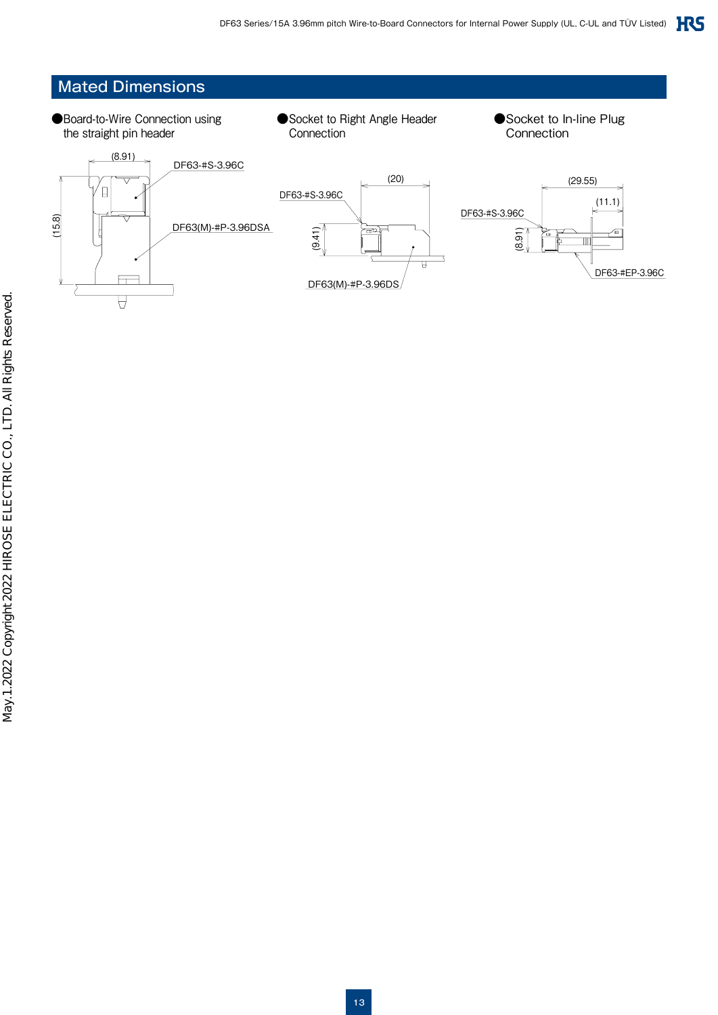## Mated Dimensions

- ●Board-to-Wire Connection using the straight pin header
- ●Socket to Right Angle Header **Connection**
- ●Socket to In-line Plug **Connection**

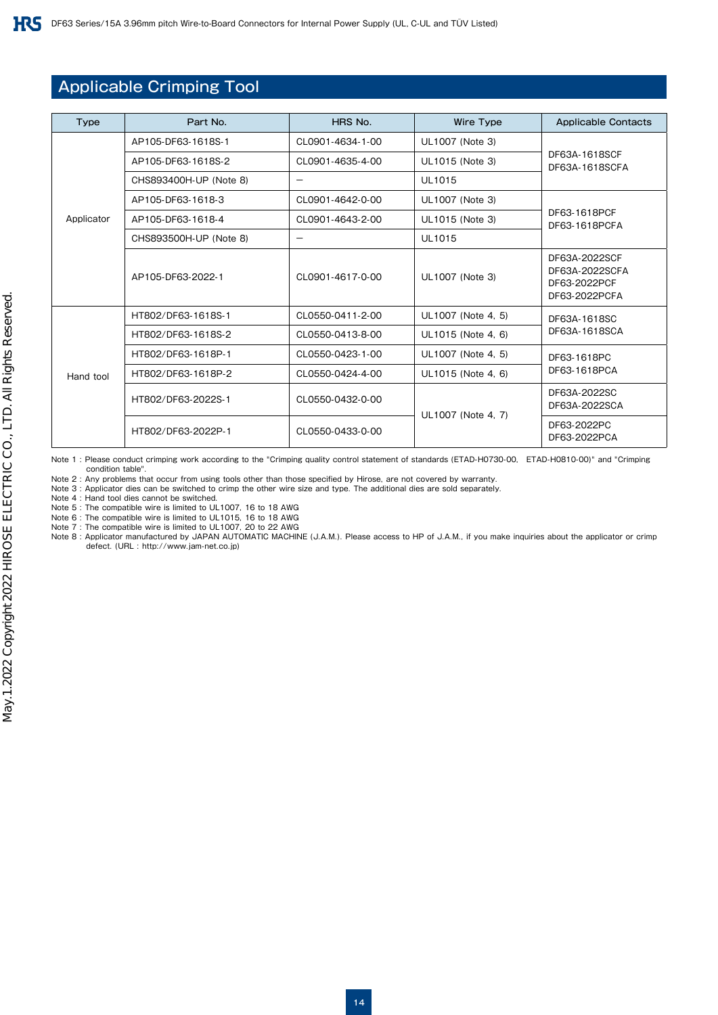## Applicable Crimping Tool

| <b>Type</b> | Part No.               | HRS No.                  | <b>Wire Type</b>   | <b>Applicable Contacts</b>                                       |  |
|-------------|------------------------|--------------------------|--------------------|------------------------------------------------------------------|--|
|             | AP105-DF63-1618S-1     | CL0901-4634-1-00         | UL1007 (Note 3)    |                                                                  |  |
|             | AP105-DF63-1618S-2     | CL0901-4635-4-00         | UL1015 (Note 3)    | DF63A-1618SCF<br>DF63A-1618SCFA                                  |  |
|             | CHS893400H-UP (Note 8) |                          | UL1015             |                                                                  |  |
|             | AP105-DF63-1618-3      | CL0901-4642-0-00         | UL1007 (Note 3)    |                                                                  |  |
| Applicator  | AP105-DF63-1618-4      | CL0901-4643-2-00         | UL1015 (Note 3)    | DF63-1618PCF<br>DF63-1618PCFA                                    |  |
|             | CHS893500H-UP (Note 8) | $\overline{\phantom{m}}$ | <b>UL1015</b>      |                                                                  |  |
|             | AP105-DF63-2022-1      | CL0901-4617-0-00         | UL1007 (Note 3)    | DF63A-2022SCF<br>DF63A-2022SCFA<br>DF63-2022PCF<br>DF63-2022PCFA |  |
|             | HT802/DF63-1618S-1     | CL0550-0411-2-00         | UL1007 (Note 4, 5) | DF63A-1618SC                                                     |  |
|             | HT802/DF63-1618S-2     | CL0550-0413-8-00         | UL1015 (Note 4, 6) | DF63A-1618SCA                                                    |  |
|             | HT802/DF63-1618P-1     | CL0550-0423-1-00         | UL1007 (Note 4, 5) | DF63-1618PC                                                      |  |
| Hand tool   | HT802/DF63-1618P-2     | CL0550-0424-4-00         | UL1015 (Note 4, 6) | DF63-1618PCA                                                     |  |
|             | HT802/DF63-2022S-1     | CL0550-0432-0-00         | UL1007 (Note 4, 7) | DF63A-2022SC<br>DF63A-2022SCA                                    |  |
|             | HT802/DF63-2022P-1     | CL0550-0433-0-00         |                    | DF63-2022PC<br>DF63-2022PCA                                      |  |

Note 1 : Please conduct crimping work according to the "Crimping quality control statement of standards (ETAD-H0730-00, ETAD-H0810-00)" and "Crimping condition table".

Note 2 : Any problems that occur from using tools other than those specified by Hirose, are not covered by warranty.

Note 3 : Applicator dies can be switched to crimp the other wire size and type. The additional dies are sold separately. Note 4 : Hand tool dies cannot be switched.

Note 5 : The compatible wire is limited to UL1007, 16 to 18 AWG

Note 6 : The compatible wire is limited to UL1015, 16 to 18 AWG Note 7 : The compatible wire is limited to UL1007, 20 to 22 AWG

Note 8 : Applicator manufactured by JAPAN AUTOMATIC MACHINE (J.A.M.). Please access to HP of J.A.M., if you make inquiries about the applicator or crimp defect. (URL : http://www.jam-net.co.jp)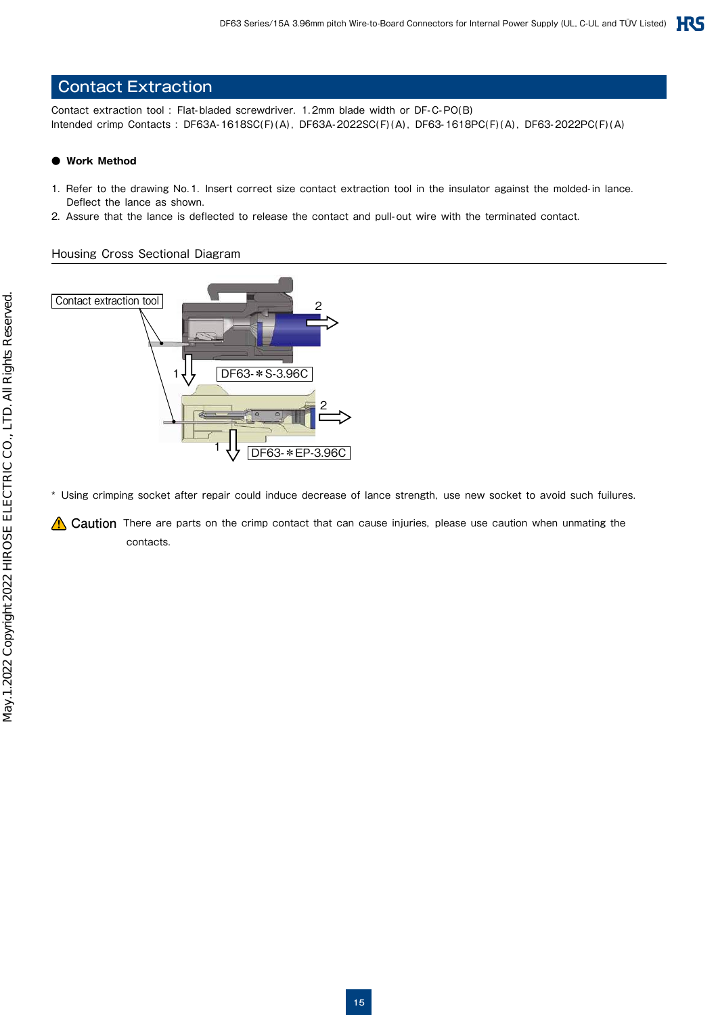## Contact Extraction

Contact extraction tool : Flat-bladed screwdriver. 1.2mm blade width or DF-C-PO(B) Intended crimp Contacts : DF63A-1618SC(F)(A), DF63A-2022SC(F)(A), DF63-1618PC(F)(A), DF63-2022PC(F)(A)

#### **● Work Method**

- 1. Refer to the drawing No.1. Insert correct size contact extraction tool in the insulator against the molded-in lance. Deflect the lance as shown.
- 2. Assure that the lance is deflected to release the contact and pull-out wire with the terminated contact.

#### Housing Cross Sectional Diagram



\* Using crimping socket after repair could induce decrease of lance strength, use new socket to avoid such fuilures.

**Caution** There are parts on the crimp contact that can cause injuries, please use caution when unmating the contacts.